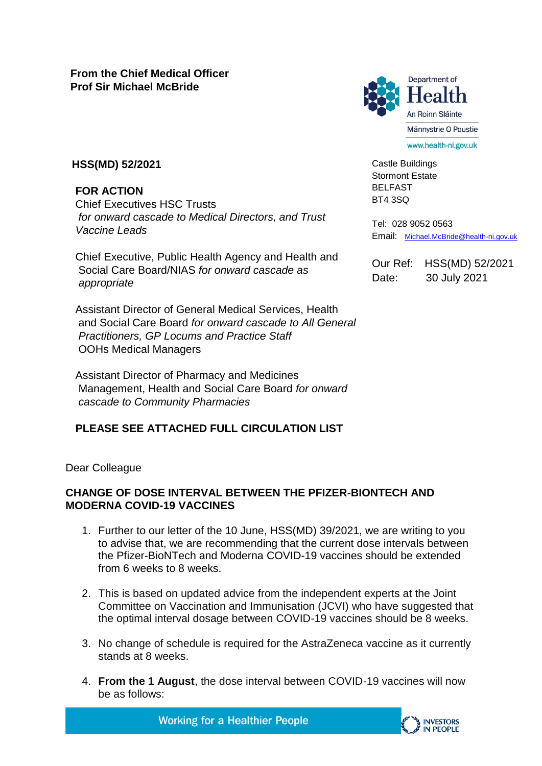

Castle Buildings Stormont Estate BELFAST BT4 3SQ

Tel: 028 9052 0563 Email: [Michael.McBride@health-ni.gov.uk](mailto:Michael.McBride@health-ni.gov.uk)

Our Ref: HSS(MD) 52/2021 Date: 30 July 2021

## **HSS(MD) 52/2021**

**FOR ACTION** 

Chief Executives HSC Trusts *for onward cascade to Medical Directors, and Trust Vaccine Leads*

Chief Executive, Public Health Agency and Health and Social Care Board/NIAS *for onward cascade as appropriate*

Assistant Director of General Medical Services, Health and Social Care Board *for onward cascade to All General Practitioners, GP Locums and Practice Staff*  OOHs Medical Managers

Assistant Director of Pharmacy and Medicines Management, Health and Social Care Board *for onward cascade to Community Pharmacies*

## **PLEASE SEE ATTACHED FULL CIRCULATION LIST**

Dear Colleague

## **CHANGE OF DOSE INTERVAL BETWEEN THE PFIZER-BIONTECH AND MODERNA COVID-19 VACCINES**

- 1. Further to our letter of the 10 June, HSS(MD) 39/2021, we are writing to you to advise that, we are recommending that the current dose intervals between the Pfizer-BioNTech and Moderna COVID-19 vaccines should be extended from 6 weeks to 8 weeks.
- 2. This is based on updated advice from the independent experts at the Joint Committee on Vaccination and Immunisation (JCVI) who have suggested that the optimal interval dosage between COVID-19 vaccines should be 8 weeks.
- 3. No change of schedule is required for the AstraZeneca vaccine as it currently stands at 8 weeks.
- 4. **From the 1 August**, the dose interval between COVID-19 vaccines will now be as follows:

**Working for a Healthier People** 

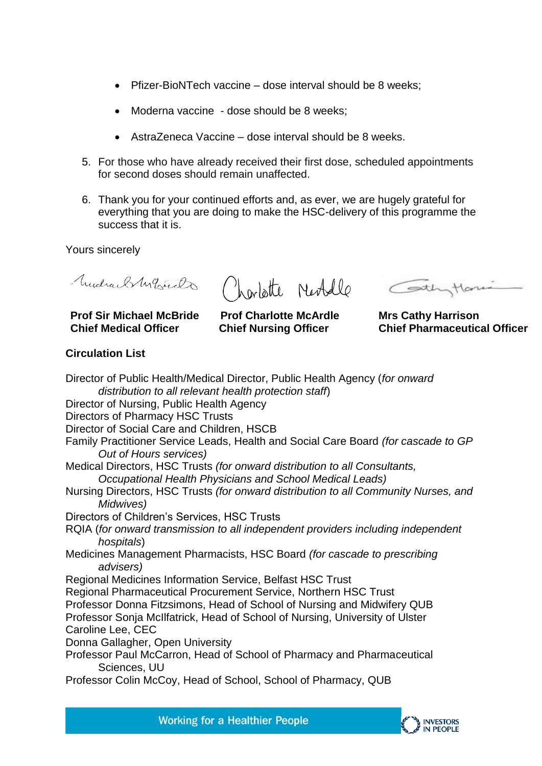- Pfizer-BioNTech vaccine dose interval should be 8 weeks;
- Moderna vaccine dose should be 8 weeks:
- AstraZeneca Vaccine dose interval should be 8 weeks.
- 5. For those who have already received their first dose, scheduled appointments for second doses should remain unaffected.
- 6. Thank you for your continued efforts and, as ever, we are hugely grateful for everything that you are doing to make the HSC-delivery of this programme the success that it is.

Yours sincerely

Mudrael My Cardo

**Prof Sir Michael McBride Chief Medical Officer**

Charlotte Neobelle Continue

**Prof Charlotte McArdle Chief Nursing Officer** 

**Mrs Cathy Harrison Chief Pharmaceutical Officer**

## **Circulation List**

Director of Public Health/Medical Director, Public Health Agency (*for onward distribution to all relevant health protection staff*) Director of Nursing, Public Health Agency Directors of Pharmacy HSC Trusts Director of Social Care and Children, HSCB Family Practitioner Service Leads, Health and Social Care Board *(for cascade to GP Out of Hours services)*  Medical Directors, HSC Trusts *(for onward distribution to all Consultants, Occupational Health Physicians and School Medical Leads)*  Nursing Directors, HSC Trusts *(for onward distribution to all Community Nurses, and Midwives)*  Directors of Children's Services, HSC Trusts RQIA (*for onward transmission to all independent providers including independent hospitals*) Medicines Management Pharmacists, HSC Board *(for cascade to prescribing advisers)*  Regional Medicines Information Service, Belfast HSC Trust Regional Pharmaceutical Procurement Service, Northern HSC Trust Professor Donna Fitzsimons, Head of School of Nursing and Midwifery QUB Professor Sonja McIlfatrick, Head of School of Nursing, University of Ulster Caroline Lee, CEC Donna Gallagher, Open University Professor Paul McCarron, Head of School of Pharmacy and Pharmaceutical Sciences, UU Professor Colin McCoy, Head of School, School of Pharmacy, QUB